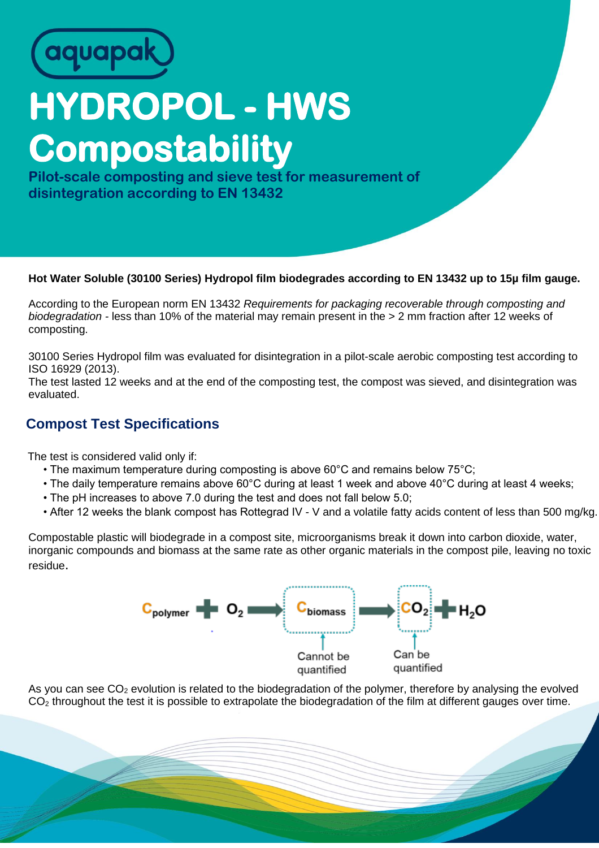

## **HYDROPOL - HWS Compostability**

**Pilot-scale composting and sieve test for measurement of disintegration according to EN 13432**

## **Hot Water Soluble (30100 Series) Hydropol film biodegrades according to EN 13432 up to 15µ film gauge.**

According to the European norm EN 13432 *Requirements for packaging recoverable through composting and biodegradation -* less than 10% of the material may remain present in the > 2 mm fraction after 12 weeks of composting.

30100 Series Hydropol film was evaluated for disintegration in a pilot-scale aerobic composting test according to ISO 16929 (2013).

The test lasted 12 weeks and at the end of the composting test, the compost was sieved, and disintegration was evaluated.

## **Compost Test Specifications**

The test is considered valid only if:

- The maximum temperature during composting is above 60°C and remains below 75°C;
- The daily temperature remains above 60°C during at least 1 week and above 40°C during at least 4 weeks;
- The pH increases to above 7.0 during the test and does not fall below 5.0;
- After 12 weeks the blank compost has Rottegrad IV V and a volatile fatty acids content of less than 500 mg/kg.

Compostable plastic will biodegrade in a compost site, microorganisms break it down into carbon dioxide, water, inorganic compounds and biomass at the same rate as other organic materials in the compost pile, leaving no toxic residue.



As you can see  $CO<sub>2</sub>$  evolution is related to the biodegradation of the polymer, therefore by analysing the evolved  $CO<sub>2</sub>$  throughout the test it is possible to extrapolate the biodegradation of the film at different gauges over time.